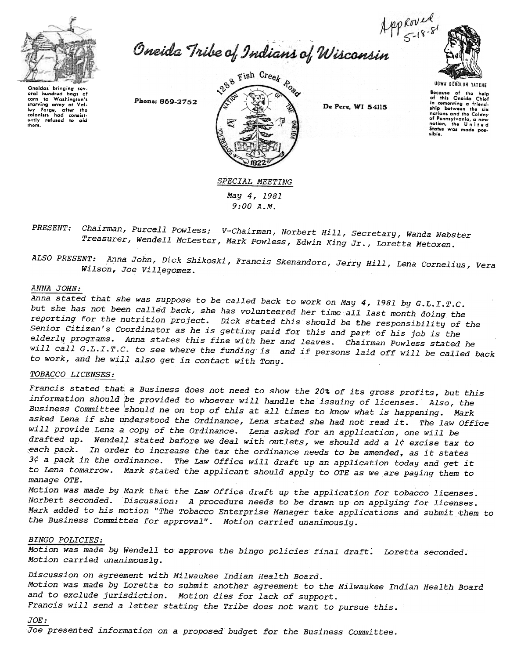

Appeared<br>Oneida Tribe of Indians of Wisconsin



Oneidas bringing sev oral hundred bags of corn to Washington's starving army at Val-<br>loy Forge, after the<br>colonists had consist-<br>ontly refused to aid<br>them.

Phone: 869-2752



De Pere, WI 54115

UGWA DEHOLUH YATENE Because of the help<br>of this Oneida Chief in comenting a friendship between the six nations and the Colony of Pennsylvania, a new or rennsylvania, a new<br>nation, the United<br>States was made possible.

# SPECIAL MEETING May 4,1981 9:00 A.M.

Chairman, Purcell Powless; V-Chairman, Norbert Hill, Secretary, Wanda Webster PRESENT: Treasurer, Wendell McLester, Mark Powless, Edwin King Jr., Loretta Metoxen.

ALSO PRESENT: Anna John, Dick Shikoski, Francis Skenandore, Jerry Hill, Lena Cornelius, Vera Wilson, Joe Villegomez.

#### ANNA JOHN:

Anna stated that she was suppose to be called back to work on May 4,1981 by G.L.I.T.C. but she has not been called back, she has volunteered her time all last month doing the reporting for the nutrition project. Dick stated this should be the responsibility of the Senior Citizen's Coordinator as he is getting paid for this and part of his job is the elderly programs. Anna states this fine with her and leaves. Chairman Powless stated he will call G.L.I.T.C. to see where the funding is and if persons laid off will be called back to work, and he will also get in contact with Tony.

# TOBACCO LICENSES:

Francis stated that a Business does not need to show the 20% of its gross profits, but this information should be provided to whoever will handle the issuing of licenses. Also, the Business Committee should ne on top of this at all times to know what is happening. Mark asked Lena if she understood the Ordinance, Lena stated she had not read it. The law Office will provide Lena a copy of the Ordinance. Lena asked for an application, one will be drafted up. Wendell stated before we deal with outlets, we should add a 1¢ excise tax to pack. In order to increase the tax the ordinance needs to be amended, as it states  $3\zeta$  a pack in the ordinance. The Law Office will draft up an application today and get it to Lena tomarrow. Mark stated the applicant should apply to OTE as we are paying them to manage OTE.

Motion was made by Mark that the Law Office draft up the application for tobacco licenses. Norbert seconded. Discussion: A procedure needs to be drawn up on applying for licenses. Mark added to his motion "The Tobacco Enterprise Manager take applications and submit ,them to the Business Committee for approval". Motion carried unanimously.

#### BINGO POLICIES:

Motion was made by Wendell to approve the bingo policies final draft. Loretta seconded. Motion carried unanimously.

Discussion on agreement with Milwaukee Indian Health Board. Motion was made by Loretta to submit another agreement to the Milwaukee Indian Health Board and to exclude jurisdiction. Motion dies for lack of support. Francis will send a letter stating the Tribe does not want to pursue this.

# $JOE:$

Joe presented information on a proposed budget for the Business Committee.